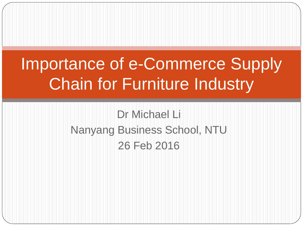# Importance of e-Commerce Supply Chain for Furniture Industry

### Dr Michael Li Nanyang Business School, NTU 26 Feb 2016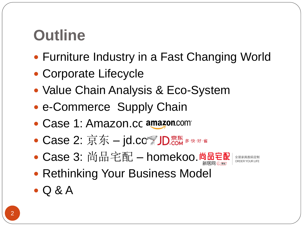# **Outline**

- Furniture Industry in a Fast Changing World
- Corporate Lifecycle
- Value Chain Analysis & Eco-System
- e-Commerce Supply Chain
- Case 1: Amazon.cc amazon.com
- Case 2: 京东 jd.cc 7JD.com 多快班省
- Case 3: 尚品宅配 homekoo. 尚品皂配

- Rethinking Your Business Model
- $\bullet$  Q & A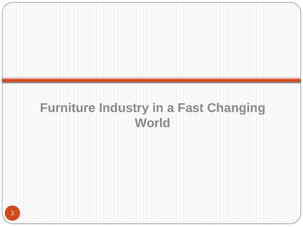### **Furniture Industry in a Fast Changing World**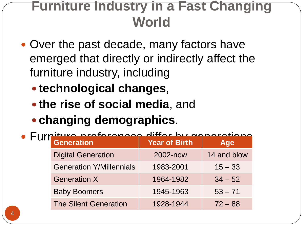### **Furniture Industry in a Fast Changing World**

- Over the past decade, many factors have emerged that directly or indirectly affect the furniture industry, including
	- **technological changes**,
	- **the rise of social media**, and
	- **changing demographics**.

| • Furniture proferenced differ by agnorations |           |             |  |  |
|-----------------------------------------------|-----------|-------------|--|--|
|                                               |           |             |  |  |
| <b>Digital Generation</b>                     | 2002-now  | 14 and blow |  |  |
| <b>Generation Y/Millennials</b>               | 1983-2001 | $15 - 33$   |  |  |
| <b>Generation X</b>                           | 1964-1982 | $34 - 52$   |  |  |
| <b>Baby Boomers</b>                           | 1945-1963 | $53 - 71$   |  |  |
| <b>The Silent Generation</b>                  | 1928-1944 | $72 - 88$   |  |  |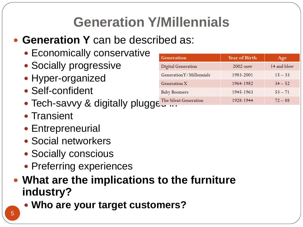# **Generation Y/Millennials**

#### **Generation Y** can be described as:

- Economically conservative
- Socially progressive
- Hyper-organized
- Self-confident
- Tech-savvy & digitally plugge  $\frac{The Siller}{\sim}$
- Transient
- Entrepreneurial
- Social networkers
- Socially conscious
- Preferring experiences
- **What are the implications to the furniture industry?** 
	- **Who are your target customers?**

| <b>Year of Birth</b> | Age         |  |
|----------------------|-------------|--|
| $2002 - now$         | 14 and blow |  |
| 1983-2001            | $15 - 33$   |  |
| 1964-1982            | $34 - 52$   |  |
| 1945-1963            | $53 - 71$   |  |
| 1928-1944            | $72 - 88$   |  |
|                      |             |  |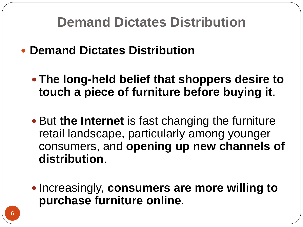### **Demand Dictates Distribution**

- **Demand Dictates Distribution**
	- **The long-held belief that shoppers desire to touch a piece of furniture before buying it**.
	- But **the Internet** is fast changing the furniture retail landscape, particularly among younger consumers, and **opening up new channels of distribution**.
	- Increasingly, **consumers are more willing to purchase furniture online**.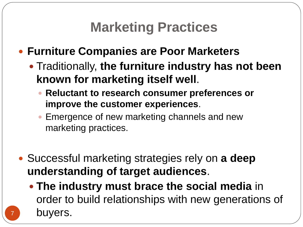### **Marketing Practices**

**Furniture Companies are Poor Marketers** 

- Traditionally, **the furniture industry has not been known for marketing itself well**.
	- **Reluctant to research consumer preferences or improve the customer experiences**.
	- **Emergence of new marketing channels and new** marketing practices.
- Successful marketing strategies rely on **a deep understanding of target audiences**.
	- **The industry must brace the social media** in order to build relationships with new generations of buyers.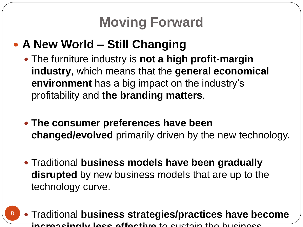## **Moving Forward**

### **A New World – Still Changing**

- The furniture industry is **not a high profit-margin industry**, which means that the **general economical environment** has a big impact on the industry's profitability and **the branding matters**.
- **The consumer preferences have been changed/evolved** primarily driven by the new technology.
- Traditional **business models have been gradually disrupted** by new business models that are up to the technology curve.
- 8 Traditional **business strategies/practices have become increasingly less effective** to sustain the business.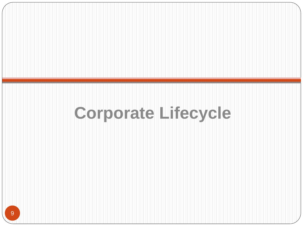# **Corporate Lifecycle**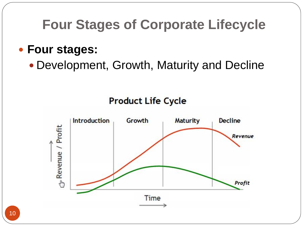### **Four Stages of Corporate Lifecycle**

#### **Four stages:**

Development, Growth, Maturity and Decline

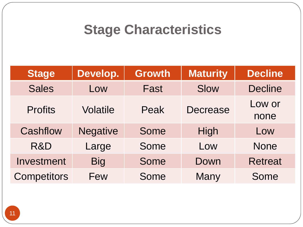### **Stage Characteristics**

| <b>Stage</b>       | Develop.        | <b>Growth</b> | <b>Maturity</b> | <b>Decline</b> |  |
|--------------------|-----------------|---------------|-----------------|----------------|--|
| <b>Sales</b>       | Low             | Fast          | <b>Slow</b>     | <b>Decline</b> |  |
| <b>Profits</b>     | <b>Volatile</b> | Peak          | <b>Decrease</b> | Low or<br>none |  |
| Cashflow           | <b>Negative</b> | Some          | High            | Low            |  |
| R&D                | Large           | Some          | Low             | <b>None</b>    |  |
| Investment         | <b>Big</b>      | <b>Some</b>   | Down            | <b>Retreat</b> |  |
| <b>Competitors</b> | Few             | <b>Some</b>   | <b>Many</b>     | Some           |  |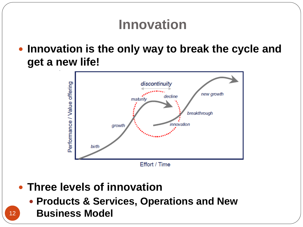### **Innovation**

 **Innovation is the only way to break the cycle and get a new life!** 



Effort / Time

- **Three levels of innovation**
	- **Products & Services, Operations and New**
- <sup>12</sup> **Business Model**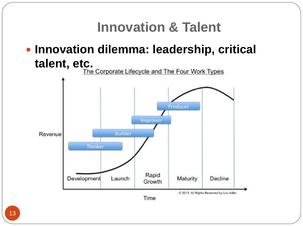### **Innovation & Talent**

 **Innovation dilemma: leadership, critical talent, etc.**<br>The Corporate Lifecycle and The Four Work Types

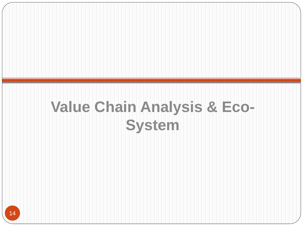# **Value Chain Analysis & Eco-System**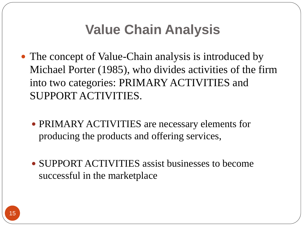### **Value Chain Analysis**

- The concept of Value-Chain analysis is introduced by Michael Porter (1985), who divides activities of the firm into two categories: PRIMARY ACTIVITIES and SUPPORT ACTIVITIES.
	- PRIMARY ACTIVITIES are necessary elements for producing the products and offering services,
	- SUPPORT ACTIVITIES assist businesses to become successful in the marketplace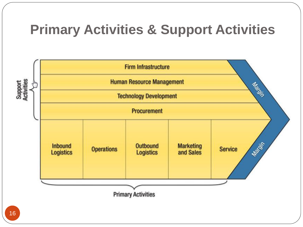## **Primary Activities & Support Activities**

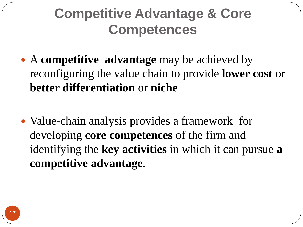## **Competitive Advantage & Core Competences**

- A **competitive advantage** may be achieved by reconfiguring the value chain to provide **lower cost** or **better differentiation** or **niche**
- Value-chain analysis provides a framework for developing **core competences** of the firm and identifying the **key activities** in which it can pursue **a competitive advantage**.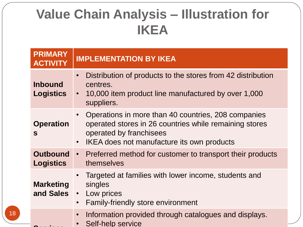## **Value Chain Analysis – Illustration for IKEA**

| <b>PRIMARY</b><br><b>ACTIVITY</b>   | <b>IMPLEMENTATION BY IKEA</b>                                                                                                                                                                                    |
|-------------------------------------|------------------------------------------------------------------------------------------------------------------------------------------------------------------------------------------------------------------|
| <b>Inbound</b><br><b>Logistics</b>  | Distribution of products to the stores from 42 distribution<br>$\bullet$<br>centres.<br>10,000 item product line manufactured by over 1,000<br>$\bullet$<br>suppliers.                                           |
| <b>Operation</b><br>S               | Operations in more than 40 countries, 208 companies<br>$\bullet$<br>operated stores in 26 countries while remaining stores<br>operated by franchisees<br>IKEA does not manufacture its own products<br>$\bullet$ |
| <b>Outbound</b><br><b>Logistics</b> | Preferred method for customer to transport their products<br>$\bullet$<br>themselves                                                                                                                             |
| <b>Marketing</b><br>and Sales       | Targeted at families with lower income, students and<br>$\bullet$<br>singles<br>Low prices<br>$\bullet$<br><b>Family-friendly store environment</b><br>$\bullet$                                                 |
|                                     | Information provided through catalogues and displays.<br>$\bullet$<br>Self-help service                                                                                                                          |

18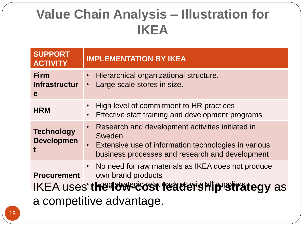## **Value Chain Analysis – Illustration for IKEA**

| <b>SUPPORT</b><br><b>ACTIVITY</b>        | <b>IMPLEMENTATION BY IKEA</b>                                                                                                                                                                    |  |  |
|------------------------------------------|--------------------------------------------------------------------------------------------------------------------------------------------------------------------------------------------------|--|--|
| <b>Firm</b><br><b>Infrastructur</b><br>e | Hierarchical organizational structure.<br>Large scale stores in size.                                                                                                                            |  |  |
| <b>HRM</b>                               | High level of commitment to HR practices<br>Effective staff training and development programs<br>$\bullet$                                                                                       |  |  |
| <b>Technology</b><br><b>Developmen</b>   | Research and development activities initiated in<br>$\bullet$<br>Sweden.<br>Extensive use of information technologies in various<br>$\bullet$<br>business processes and research and development |  |  |
| <b>Procurement</b>                       | No need for raw materials as IKEA does not produce<br>$\bullet$<br>own brand products<br>IKEA uses the districted and the pretrategy as<br>a competitive advantage.                              |  |  |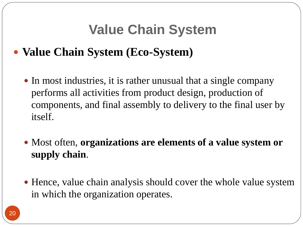## **Value Chain System**

#### **Value Chain System (Eco-System)**

- In most industries, it is rather unusual that a single company performs all activities from product design, production of components, and final assembly to delivery to the final user by itself.
- Most often, **organizations are elements of a value system or supply chain**.
- Hence, value chain analysis should cover the whole value system in which the organization operates.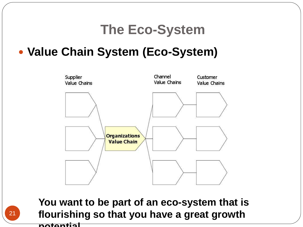### **The Eco-System**

#### **Value Chain System (Eco-System)**



**You want to be part of an eco-system that is flourishing so that you have a great growth** 

**potential.**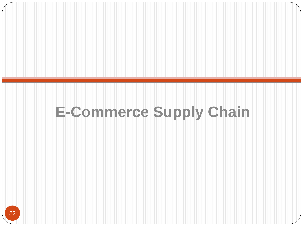# **E-Commerce Supply Chain**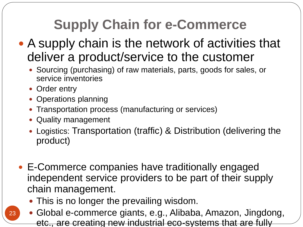## **Supply Chain for e-Commerce**

- A supply chain is the network of activities that deliver a product/service to the customer
	- Sourcing (purchasing) of raw materials, parts, goods for sales, or service inventories
	- Order entry

23

- Operations planning
- Transportation process (manufacturing or services)
- Quality management
- Logistics: Transportation (traffic) & Distribution (delivering the product)
- E-Commerce companies have traditionally engaged independent service providers to be part of their supply chain management.
	- This is no longer the prevailing wisdom.
- Global e-commerce giants, e.g., Alibaba, Amazon, Jingdong, etc., are creating new industrial eco-systems that are fully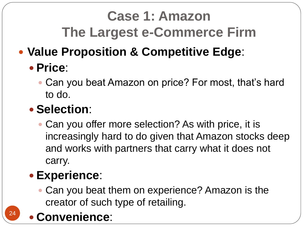# **Case 1: Amazon The Largest e-Commerce Firm**

- **Value Proposition & Competitive Edge**:
	- **Price**:
		- Can you beat Amazon on price? For most, that's hard to do.

### **Selection**:

• Can you offer more selection? As with price, it is increasingly hard to do given that Amazon stocks deep and works with partners that carry what it does not carry.

### **Experience**:

- Can you beat them on experience? Amazon is the creator of such type of retailing.
- **Convenience**: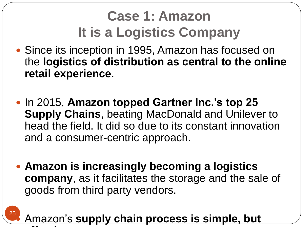## **Case 1: Amazon It is a Logistics Company**

- Since its inception in 1995, Amazon has focused on the **logistics of distribution as central to the online retail experience**.
- In 2015, **Amazon topped Gartner Inc.'s top 25 Supply Chains**, beating MacDonald and Unilever to head the field. It did so due to its constant innovation and a consumer-centric approach.
- **Amazon is increasingly becoming a logistics company**, as it facilitates the storage and the sale of goods from third party vendors.

#### Amazon's **supply chain process is simple, but effective**. The contract of the contract of the contract of the contract of the contract of the contract of the contract of the contract of the contract of the contract of the contract of the contract of the contract of t

25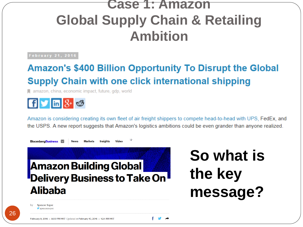### **Case 1: Amazon Global Supply Chain & Retailing Ambition**

**February 21, 2016** 

#### **Amazon's \$400 Billion Opportunity To Disrupt the Global Supply Chain with one click international shipping**

amazon, china, economic impact, future, gdp, world

#### $f$  in  $8+$   $3+$

Amazon is considering creating its own fleet of air freight shippers to compete head-to-head with UPS, FedEx, and the USPS. A new report suggests that Amazon's logistics ambitions could be even grander than anyone realized.



**So what is the key message?** 

**Spencer Soper** spencersoper

26

f y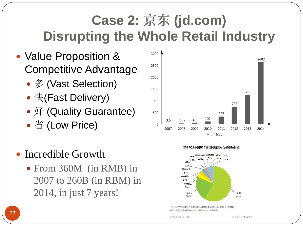# **Case 2:** 京东 **(jd.com) Disrupting the Whole Retail Industry**

- Value Proposition & Competitive Advantage
	- 多 (Vast Selection)
	- 快(Fast Delivery)
	- 好 (Quality Guarantee)
	- 省 (Low Price)
- Incredible Growth
	- From 360M (in RMB) in 2007 to 260B (in RBM) in 2014, in just 7 years!



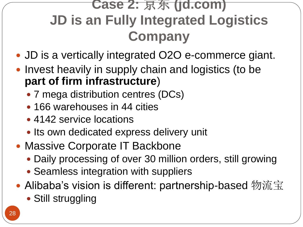### **Case 2:** 京东 **(jd.com) JD is an Fully Integrated Logistics Company**

- JD is a vertically integrated O2O e-commerce giant.
- Invest heavily in supply chain and logistics (to be **part of firm infrastructure**)
	- 7 mega distribution centres (DCs)
	- 166 warehouses in 44 cities
	- 4142 service locations
	- Its own dedicated express delivery unit
- Massive Corporate IT Backbone
	- Daily processing of over 30 million orders, still growing
	- Seamless integration with suppliers
- Alibaba's vision is different: partnership-based 物流宝
	- Still struggling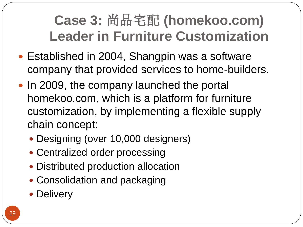## **Case 3:** 尚品宅配 **(homekoo.com) Leader in Furniture Customization**

- Established in 2004, Shangpin was a software company that provided services to home-builders.
- In 2009, the company launched the portal homekoo.com, which is a platform for furniture customization, by implementing a flexible supply chain concept:
	- Designing (over 10,000 designers)
	- Centralized order processing
	- Distributed production allocation
	- Consolidation and packaging
	- Delivery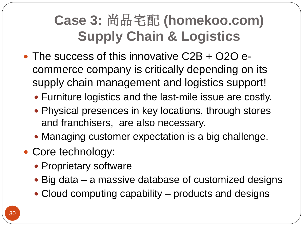# **Case 3:** 尚品宅配 **(homekoo.com) Supply Chain & Logistics**

- The success of this innovative C2B + O2O ecommerce company is critically depending on its supply chain management and logistics support!
	- Furniture logistics and the last-mile issue are costly.
	- Physical presences in key locations, through stores and franchisers, are also necessary.
	- Managing customer expectation is a big challenge.
- Core technology:
	- Proprietary software
	- Big data a massive database of customized designs
	- Cloud computing capability products and designs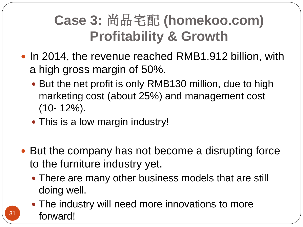## **Case 3:** 尚品宅配 **(homekoo.com) Profitability & Growth**

- In 2014, the revenue reached RMB1.912 billion, with a high gross margin of 50%.
	- But the net profit is only RMB130 million, due to high marketing cost (about 25%) and management cost (10- 12%).
	- This is a low margin industry!

31

- But the company has not become a disrupting force to the furniture industry yet.
	- There are many other business models that are still doing well.
	- The industry will need more innovations to more forward!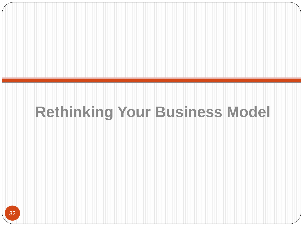# **Rethinking Your Business Model**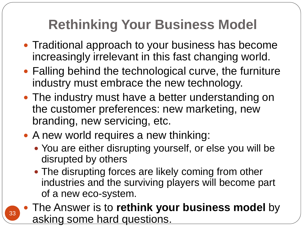## **Rethinking Your Business Model**

- Traditional approach to your business has become increasingly irrelevant in this fast changing world.
- Falling behind the technological curve, the furniture industry must embrace the new technology.
- The industry must have a better understanding on the customer preferences: new marketing, new branding, new servicing, etc.
- A new world requires a new thinking:
	- You are either disrupting yourself, or else you will be disrupted by others
	- The disrupting forces are likely coming from other industries and the surviving players will become part of a new eco-system.
- 33 The Answer is to **rethink your business model** by asking some hard questions.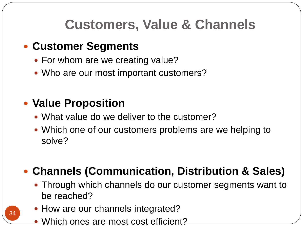### **Customers, Value & Channels**

#### **Customer Segments**

- For whom are we creating value?
- Who are our most important customers?

#### **Value Proposition**

- What value do we deliver to the customer?
- Which one of our customers problems are we helping to solve?

### **Channels (Communication, Distribution & Sales)**

- Through which channels do our customer segments want to be reached?
- How are our channels integrated?
- Which ones are most cost efficient?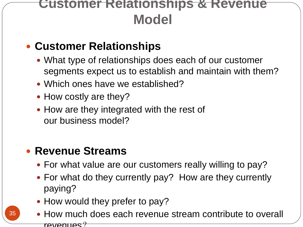### **Customer Relationships & Revenue Model**

#### **Customer Relationships**

- What type of relationships does each of our customer segments expect us to establish and maintain with them?
- Which ones have we established?
- How costly are they?
- How are they integrated with the rest of our business model?

#### **Revenue Streams**

35

- For what value are our customers really willing to pay?
- For what do they currently pay? How are they currently paying?
- How would they prefer to pay?
- How much does each revenue stream contribute to overall revenues?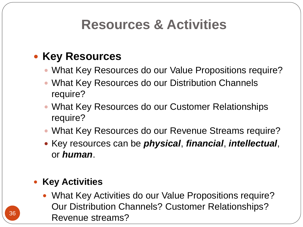### **Resources & Activities**

#### **Key Resources**

- What Key Resources do our Value Propositions require?
- What Key Resources do our Distribution Channels require?
- What Key Resources do our Customer Relationships require?
- What Key Resources do our Revenue Streams require?
- Key resources can be *physical*, *financial*, *intellectual*, or *human*.

#### **• Key Activities**

 What Key Activities do our Value Propositions require? Our Distribution Channels? Customer Relationships? Revenue streams?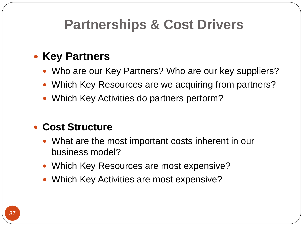### **Partnerships & Cost Drivers**

#### **• Key Partners**

- Who are our Key Partners? Who are our key suppliers?
- Which Key Resources are we acquiring from partners?
- Which Key Activities do partners perform?

#### **Cost Structure**

- What are the most important costs inherent in our business model?
- Which Key Resources are most expensive?
- Which Key Activities are most expensive?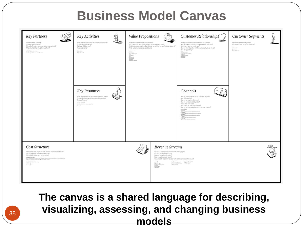### **Business Model Canvas**

| Key Partners<br>Who are our Key Partners?<br>Who are our key suppliers?<br>Which Key Resources are we acquiring from partners?<br>Which Key Activities do partners perform?<br>tarra izuna zua zuertazoarea<br>Episiosion enforcezz<br>Bulachen globi enformatista<br>Augustine gloriitzke resorezu enfortirile                                                                                                                             | Key Activities<br>What Key Activities do our Value Propositions require?<br>Our Distribution Channels?<br>Customer Relationships?<br>Revenue streams?<br>astromen<br>Poblasien<br>Pathen/Salmer                                                      | Á. | Value Propositions<br>What value do we deliver to the customer?<br>Which one of our customer's problems are we helping to solve?<br>inaarvarmens<br>Krates<br>Poljemans<br>Catomizimi<br>Catogyche Advis<br>Dalgo<br>Bid Bohniter<br>Cor Bohniter<br>Ald Bohniter<br>Ald Bohniter<br>Ald Bohniter<br>Ald Bohniter | What bundles of products and services are we offering to each Customer Segment?<br>Which customer needs are we satisfying?                                                                                                                                                                                                                 | Customer Relationships<br>What type of relationship does each of our Customer<br>Segments expect us to establish and maintain with them?<br>Which ones have we established?<br>How are they integrated with the rest of our business model?<br>How costly are they?                                                                                                                                                                                            | <b>Customer Segments</b><br>for whom are we creating value?<br>Who are our most important customers?<br>Man Maria<br>Nobe Meriat<br>Segmentel<br>Nobe scied Platform<br>Male scied Platform |  |
|---------------------------------------------------------------------------------------------------------------------------------------------------------------------------------------------------------------------------------------------------------------------------------------------------------------------------------------------------------------------------------------------------------------------------------------------|------------------------------------------------------------------------------------------------------------------------------------------------------------------------------------------------------------------------------------------------------|----|-------------------------------------------------------------------------------------------------------------------------------------------------------------------------------------------------------------------------------------------------------------------------------------------------------------------|--------------------------------------------------------------------------------------------------------------------------------------------------------------------------------------------------------------------------------------------------------------------------------------------------------------------------------------------|----------------------------------------------------------------------------------------------------------------------------------------------------------------------------------------------------------------------------------------------------------------------------------------------------------------------------------------------------------------------------------------------------------------------------------------------------------------|---------------------------------------------------------------------------------------------------------------------------------------------------------------------------------------------|--|
|                                                                                                                                                                                                                                                                                                                                                                                                                                             | Key Resources<br>What Key Resources do our Value Propositions require?<br>Our Distribution Channels? Customer Relationships?<br>Revenue Streams?<br><b>FETER OF HOUR ROAD</b><br>Hydes<br>Hydestal (sand jorum, vapright, data)<br>Hymen<br>Framskil |    |                                                                                                                                                                                                                                                                                                                   |                                                                                                                                                                                                                                                                                                                                            | Channels<br>Through which Channels do our Customer Segments<br>want to be reached?<br>How are we reaching them now?<br>How are our Channels integrated?<br>Which ones work best?<br>Which ones are most cost-efficient?<br>How are we integrating them with customer routines?<br>CRAOSAS, PRANCH.<br>L'Avancient<br>2. Evaluation<br>Avenuence<br>z Parchere<br>4. Belleury<br>Bocakerschilder<br><b>GARCORD</b>                                              |                                                                                                                                                                                             |  |
| Cost Structure<br>What are the most important costs inherent in our business model?<br>Which Key Resources are most expensive?<br>Which Key Activities are most expensive?<br>es www.mareness.manus<br>Cost Britan Clumar over arranges, Jose próce soliar proposition, maxim<br>Hilas Britan (Securebot referenceists, promises refer proposition)<br>smarios conculturas<br>Tasah Casas (palanian<br>Griddic pada<br>Griddical pada (pada |                                                                                                                                                                                                                                                      |    |                                                                                                                                                                                                                                                                                                                   | Revenue Streams<br>For what value are our customers really willing to pay?<br>For what do they currently pay?<br>How are they currently paying?<br>How would they prefer to pay?<br>How much does each Revenue Stream contribute to overall revenues?<br>www.<br>Australy<br>Debarjel<br>Debarg/Se<br>Geology.je<br>Bekengr.je<br>Mesteing | $\begin{tabular}{l c c c c} \hline \multicolumn{1}{c}{\textbf{FMSP-MISTM}} & \multicolumn{1}{c}{\textbf{NMSP-MISTM}} \\ \hline \multicolumn{1}{c}{\textbf{NMSP-MISTM}} & \multicolumn{1}{c}{\textbf{NMSP-MISTM}} \\ \multicolumn{1}{c}{\textbf{FMSP-MISTM}} & \multicolumn{1}{c}{\textbf{FMSP-MISTM}} \\ \hline \multicolumn{1}{c}{\textbf{FMSP-MISTM}} & \multicolumn{1}{c}{\textbf{FMSP-MISTM}} \\ \hline \multicolumn{1}{c}{\textbf{FMSP-MISTM}} & \multic$ |                                                                                                                                                                                             |  |

**The canvas is a shared language for describing, visualizing, assessing, and changing business models**